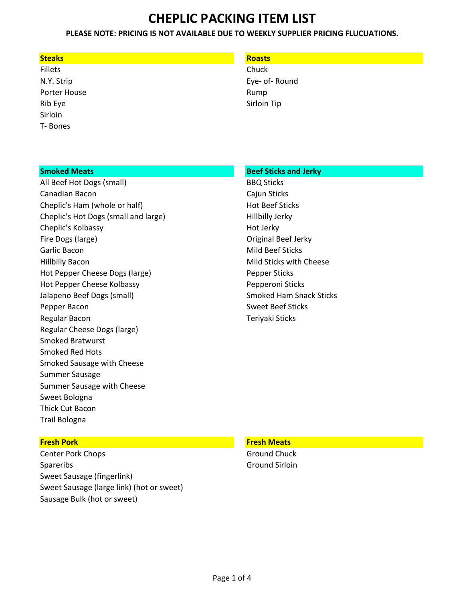# **PLEASE NOTE: PRICING IS NOT AVAILABLE DUE TO WEEKLY SUPPLIER PRICING FLUCUATIONS.**

## **Steaks Roasts**

Fillets **Chuck** Porter House **Rump** Rump Rib Eye Sirloin Tip Sirloin T- Bones

N.Y. Strip Eye- of- Round

All Beef Hot Dogs (small) BBQ Sticks Canadian Bacon Cajun Sticks Cheplic's Ham (whole or half) Manual Hot Beef Sticks Cheplic's Hot Dogs (small and large) The Multiple Hillbilly Jerky Cheplic's Kolbassy **Hot Jerky** Hot Jerky Fire Dogs (large) The Contract of Contract Contract of Contract Original Beef Jerky Garlic Bacon **Mild Beef Sticks Garlic Bacon** Hillbilly Bacon **Mild Sticks with Cheese** Mild Sticks with Cheese Hot Pepper Cheese Dogs (large) entitled and the Pepper Sticks Hot Pepper Cheese Kolbassy **Pepperoni Sticks** Jalapeno Beef Dogs (small) Smoked Ham Snack Sticks Pepper Bacon Sweet Beef Sticks Regular Bacon **Teriyaki Sticks Regular Bacon** Regular Cheese Dogs (large) Smoked Bratwurst Smoked Red Hots Smoked Sausage with Cheese Summer Sausage Summer Sausage with Cheese Sweet Bologna Thick Cut Bacon Trail Bologna

# **Smoked Meats Beef Sticks and Jerky Beef Sticks and Jerky Beef Sticks** and Jerky

Center Pork Chops Ground Chuck Spareribs Ground Sirloin Sweet Sausage (fingerlink) Sweet Sausage (large link) (hot or sweet) Sausage Bulk (hot or sweet)

### **Fresh Pork Fresh Meats**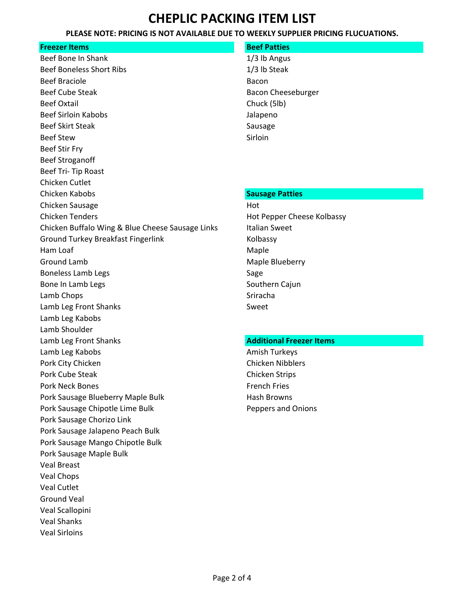# **PLEASE NOTE: PRICING IS NOT AVAILABLE DUE TO WEEKLY SUPPLIER PRICING FLUCUATIONS.**

# **Freezer Items Beef Patties Beef Patties**

Beef Bone In Shank 1/3 lb Angus Beef Boneless Short Ribs 1/3 lb Steak Beef Braciole Bacon Beef Cube Steak and Bacon Cheeseburger Beef Oxtail **Branch Chuck** (5lb) Beef Sirloin Kabobs Jalapeno Beef Skirt Steak Sausage Sausage Beef Stew Sirloin Beef Stir Fry Beef Stroganoff Beef Tri- Tip Roast Chicken Cutlet **Chicken Kabobs Sausage Patties Sausage Patties** Chicken Sausage Hot and Sausage Hot and Sausage Hot and Sausage Hot and Sausage Hot and Sausage Hot and Sausage Chicken Tenders **Hot Pepper Cheese Kolbassy** Chicken Buffalo Wing & Blue Cheese Sausage Links Italian Sweet Ground Turkey Breakfast Fingerlink Kolbassy Ham Loaf **Maple** Ground Lamb **Maple Blueberry Maple Blueberry** Boneless Lamb Legs Sage Sage Bone In Lamb Legs Southern Cajun Lamb Chops **State Chops** Sriracha Lamb Leg Front Shanks Sweet Lamb Leg Kabobs Lamb Shoulder Lamb Leg Front Shanks **Additional Freezer Items Additional Freezer Items** Lamb Leg Kabobs **Amish Turkeys** Amish Turkeys Pork City Chicken **Chicken** Chicken Nibblers Pork Cube Steak Chicken Strips Chicken Strips Chicken Strips Pork Neck Bones **French Fries** French Fries Pork Sausage Blueberry Maple Bulk Hash Browns Pork Sausage Chipotle Lime Bulk **Peppers and Onions** Peppers and Onions Pork Sausage Chorizo Link Pork Sausage Jalapeno Peach Bulk Pork Sausage Mango Chipotle Bulk Pork Sausage Maple Bulk Veal Breast Veal Chops Veal Cutlet Ground Veal Veal Scallopini Veal Shanks Veal Sirloins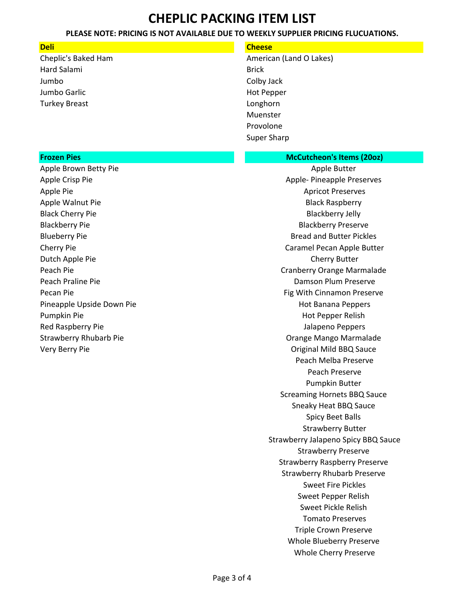# **PLEASE NOTE: PRICING IS NOT AVAILABLE DUE TO WEEKLY SUPPLIER PRICING FLUCUATIONS.**

| <b>Deli</b>                   | <b>Cheese</b>                        |
|-------------------------------|--------------------------------------|
| Cheplic's Baked Ham           | American (Land O Lakes)              |
| Hard Salami                   | <b>Brick</b>                         |
| Jumbo                         | Colby Jack                           |
| Jumbo Garlic                  | <b>Hot Pepper</b>                    |
| <b>Turkey Breast</b>          | Longhorn                             |
|                               | Muenster                             |
|                               | Provolone                            |
|                               | <b>Super Sharp</b>                   |
|                               |                                      |
| <b>Frozen Pies</b>            | <b>McCutcheon's Items (200z)</b>     |
| Apple Brown Betty Pie         | Apple Butter                         |
| Apple Crisp Pie               | <b>Apple- Pineapple Preserves</b>    |
| Apple Pie                     | <b>Apricot Preserves</b>             |
| Apple Walnut Pie              | <b>Black Raspberry</b>               |
| <b>Black Cherry Pie</b>       | <b>Blackberry Jelly</b>              |
| <b>Blackberry Pie</b>         | <b>Blackberry Preserve</b>           |
| <b>Blueberry Pie</b>          | <b>Bread and Butter Pickles</b>      |
| Cherry Pie                    | Caramel Pecan Apple Butter           |
| Dutch Apple Pie               | <b>Cherry Butter</b>                 |
| Peach Pie                     | Cranberry Orange Marmalade           |
| Peach Praline Pie             | Damson Plum Preserve                 |
| Pecan Pie                     | Fig With Cinnamon Preserve           |
| Pineapple Upside Down Pie     | <b>Hot Banana Peppers</b>            |
| Pumpkin Pie                   | Hot Pepper Relish                    |
| Red Raspberry Pie             | Jalapeno Peppers                     |
| <b>Strawberry Rhubarb Pie</b> | Orange Mango Marmalade               |
| Very Berry Pie                | Original Mild BBQ Sauce              |
|                               | Peach Melba Preserve                 |
|                               | Peach Preserve                       |
|                               | Pumpkin Butter                       |
|                               | <b>Screaming Hornets BBQ Sauce</b>   |
|                               | Sneaky Heat BBQ Sauce                |
|                               | <b>Spicy Beet Balls</b>              |
|                               | <b>Strawberry Butter</b>             |
|                               | Strawberry Jalapeno Spicy BBQ Sauce  |
|                               | <b>Strawberry Preserve</b>           |
|                               | <b>Strawberry Raspberry Preserve</b> |
|                               | <b>Strawberry Rhubarb Preserve</b>   |
|                               | <b>Sweet Fire Pickles</b>            |
|                               | Sweet Pepper Relish                  |
|                               | Sweet Pickle Relish                  |
|                               | <b>Tomato Preserves</b>              |
|                               | <b>Triple Crown Preserve</b>         |
|                               | Whole Blueberry Preserve             |
|                               | Whole Cherry Preserve                |